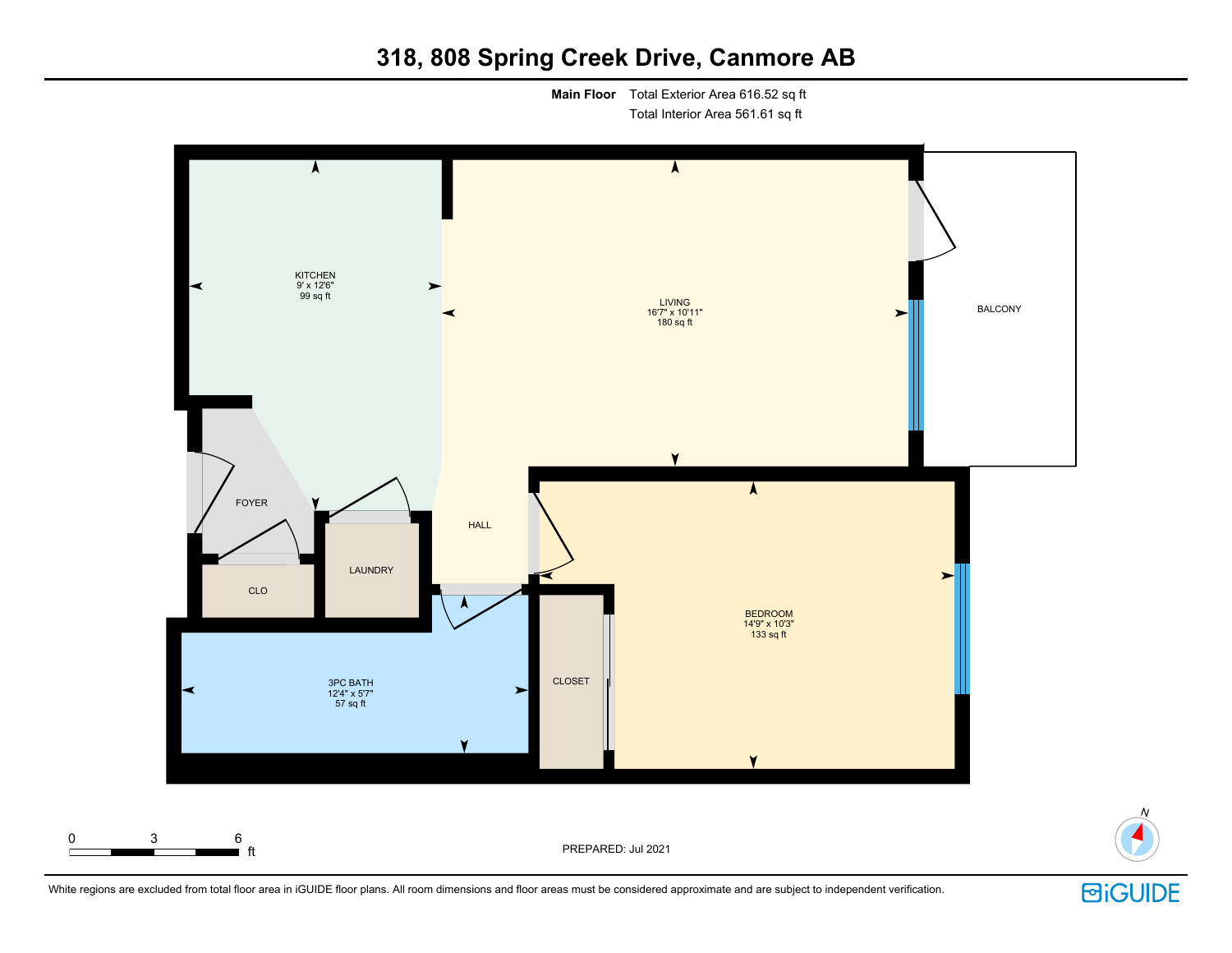# **318, 808 Spring Creek Drive, Canmore AB**

**Main Floor** Total Exterior Area 616.52 sq ft Total Interior Area 561.61 sq ft





N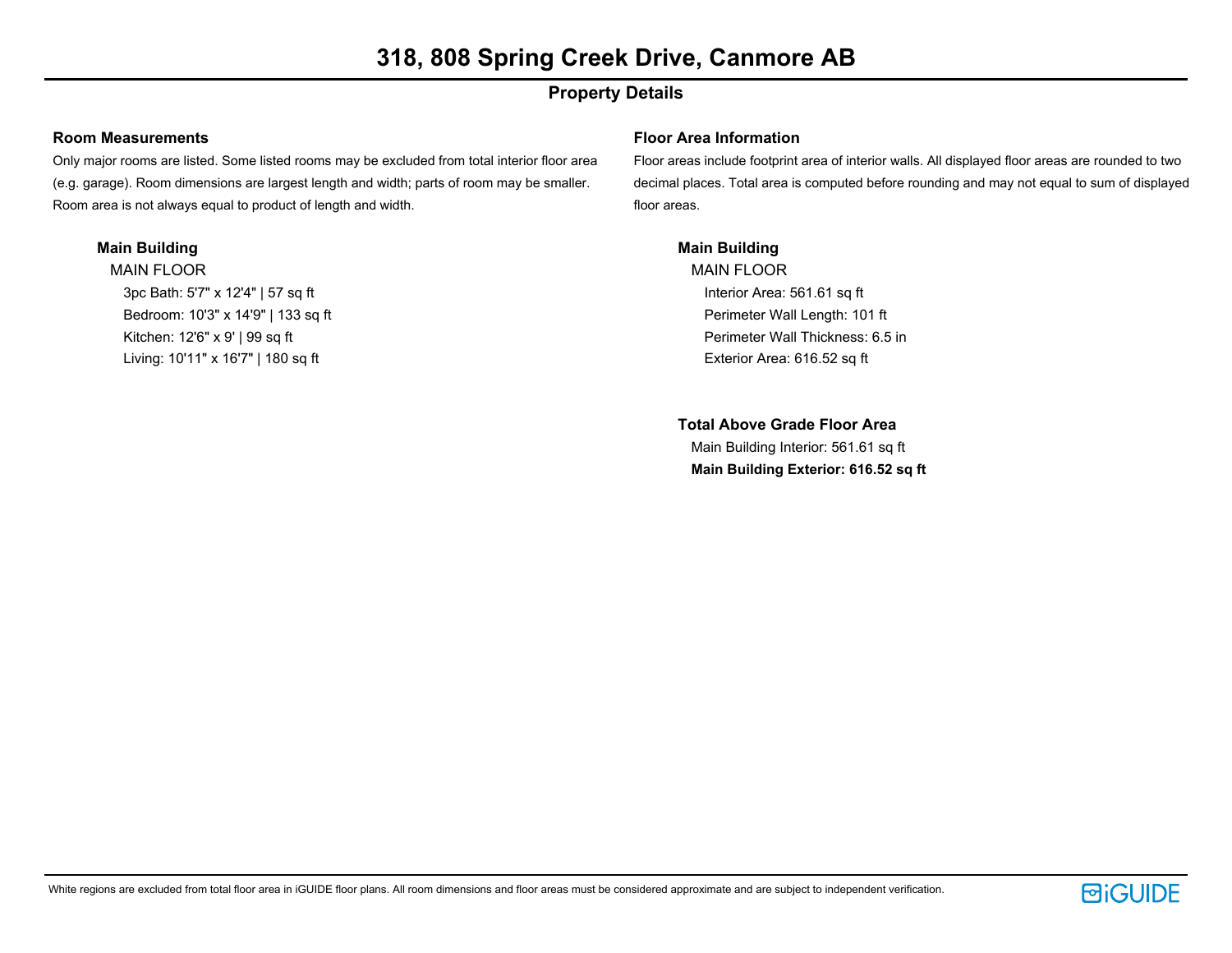# **318, 808 Spring Creek Drive, Canmore AB**

## **Property Details**

### **Room Measurements**

Only major rooms are listed. Some listed rooms may be excluded from total interior floor area (e.g. garage). Room dimensions are largest length and width; parts of room may be smaller. Room area is not always equal to product of length and width.

### **Main Building**

MAIN FLOOR 3pc Bath: 5'7" x 12'4" | 57 sq ft Bedroom: 10'3" x 14'9" | 133 sq ft Kitchen: 12'6" x 9' | 99 sq ft Living: 10'11" x 16'7" | 180 sq ft

### **Floor Area Information**

Floor areas include footprint area of interior walls. All displayed floor areas are rounded to two decimal places. Total area is computed before rounding and may not equal to sum of displayed floor areas.

### **Main Building**

MAIN FLOOR Interior Area: 561.61 sq ft Perimeter Wall Length: 101 ft Perimeter Wall Thickness: 6.5 in Exterior Area: 616.52 sq ft

**Total Above Grade Floor Area** Main Building Interior: 561.61 sq ft **Main Building Exterior: 616.52 sq ft**

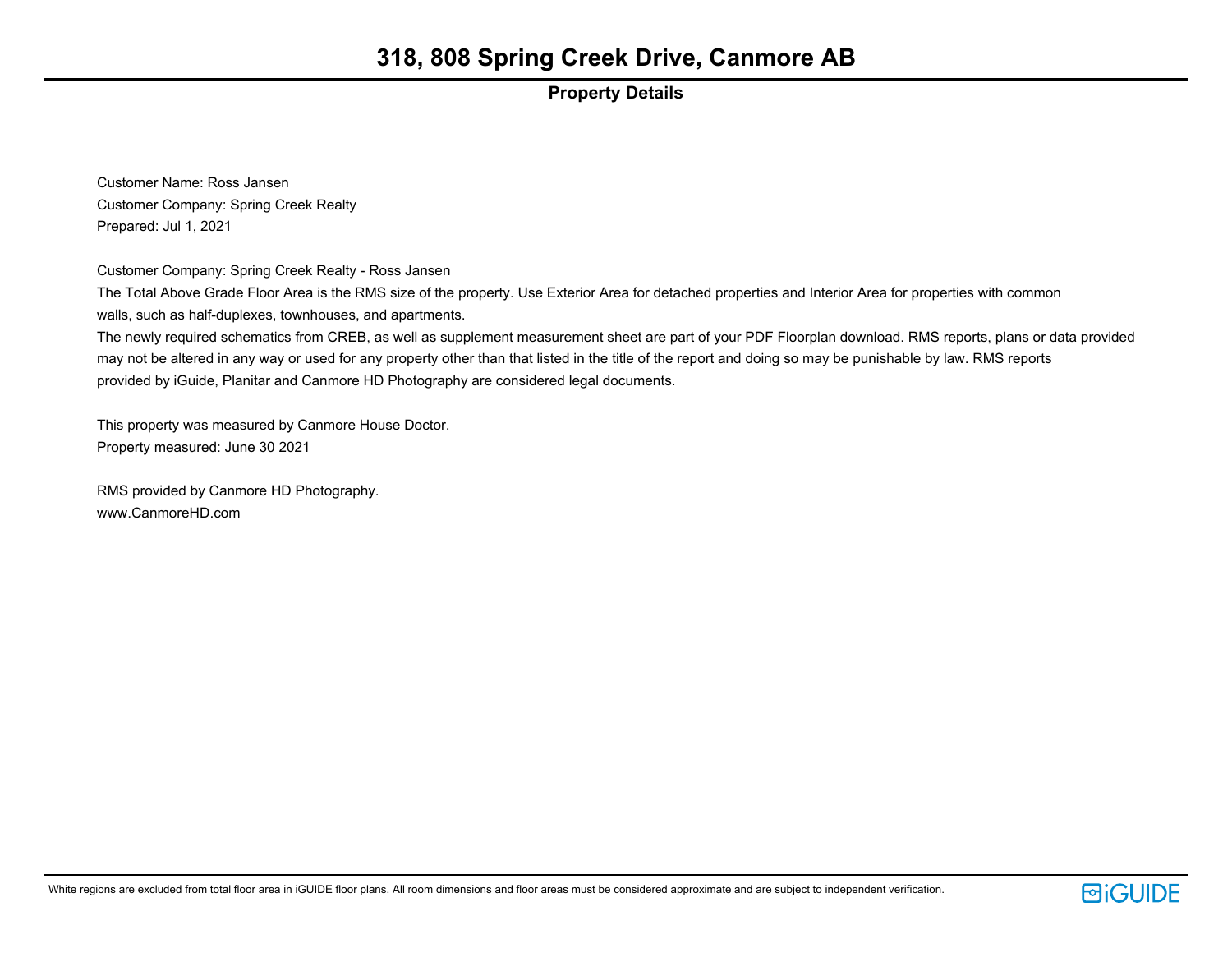### **Property Details**

Customer Name: Ross Jansen Customer Company: Spring Creek Realty Prepared: Jul 1, 2021

Customer Company: Spring Creek Realty - Ross Jansen

The Total Above Grade Floor Area is the RMS size of the property. Use Exterior Area for detached properties and Interior Area for properties with common walls, such as half-duplexes, townhouses, and apartments.

The newly required schematics from CREB, as well as supplement measurement sheet are part of your PDF Floorplan download. RMS reports, plans or data provided may not be altered in any way or used for any property other than that listed in the title of the report and doing so may be punishable by law. RMS reports provided by iGuide, Planitar and Canmore HD Photography are considered legal documents.

This property was measured by Canmore House Doctor. Property measured: June 30 2021

RMS provided by Canmore HD Photography. www.CanmoreHD.com

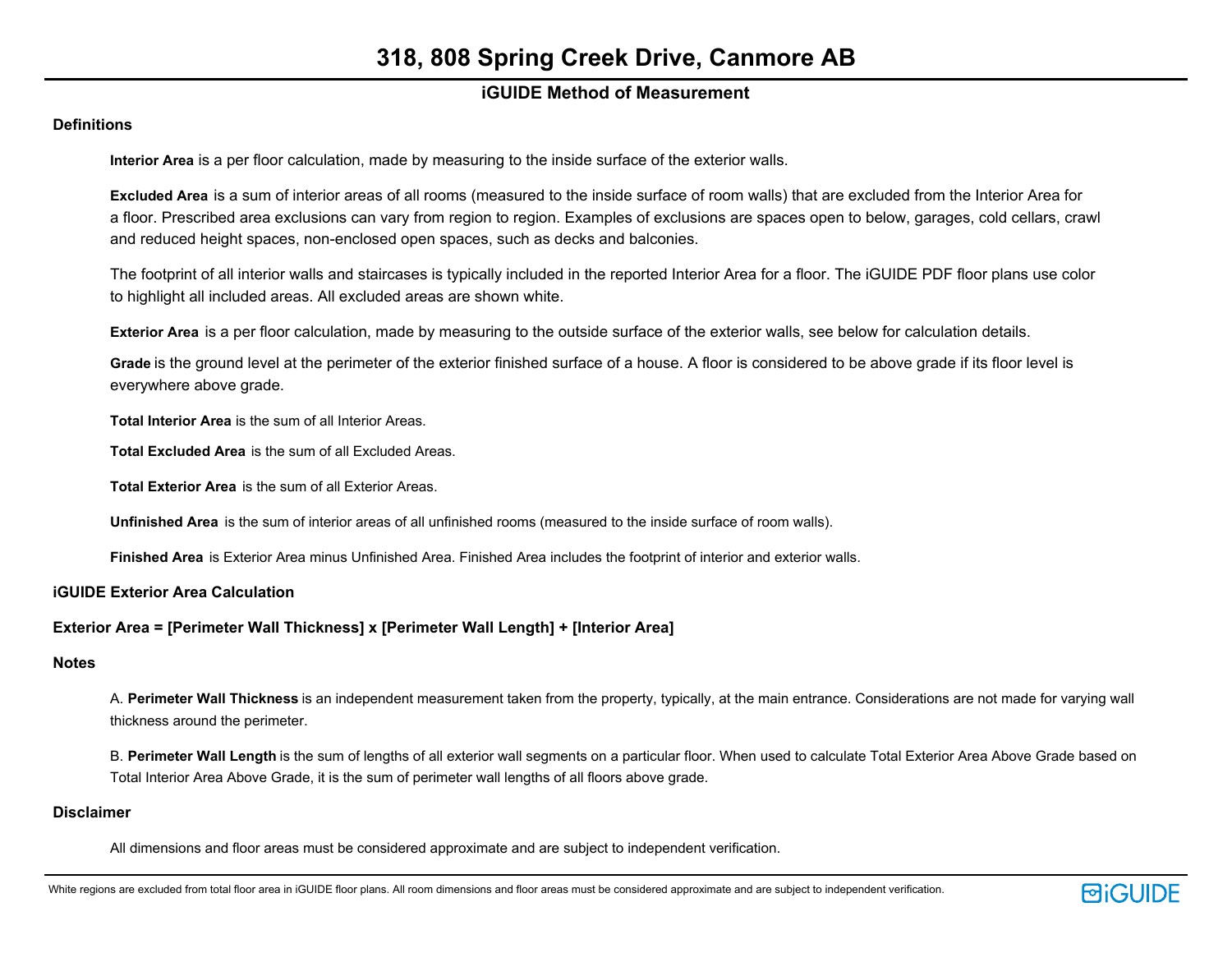### **iGUIDE Method of Measurement**

### **Definitions**

**Interior Area** is a per floor calculation, made by measuring to the inside surface of the exterior walls.

**Excluded Area** is a sum of interior areas of all rooms (measured to the inside surface of room walls) that are excluded from the Interior Area for a floor. Prescribed area exclusions can vary from region to region. Examples of exclusions are spaces open to below, garages, cold cellars, crawl and reduced height spaces, non-enclosed open spaces, such as decks and balconies.

The footprint of all interior walls and staircases is typically included in the reported Interior Area for a floor. The iGUIDE PDF floor plans use color to highlight all included areas. All excluded areas are shown white.

**Exterior Area** is a per floor calculation, made by measuring to the outside surface of the exterior walls, see below for calculation details.

**Grade** is the ground level at the perimeter of the exterior finished surface of a house. A floor is considered to be above grade if its floor level is everywhere above grade.

**Total Interior Area** is the sum of all Interior Areas.

**Total Excluded Area** is the sum of all Excluded Areas.

**Total Exterior Area** is the sum of all Exterior Areas.

**Unfinished Area** is the sum of interior areas of all unfinished rooms (measured to the inside surface of room walls).

**Finished Area** is Exterior Area minus Unfinished Area. Finished Area includes the footprint of interior and exterior walls.

**iGUIDE Exterior Area Calculation**

### **Exterior Area = [Perimeter Wall Thickness] x [Perimeter Wall Length] + [Interior Area]**

### **Notes**

A. **Perimeter Wall Thickness** is an independent measurement taken from the property, typically, at the main entrance. Considerations are not made for varying wall thickness around the perimeter.

B. **Perimeter Wall Length** is the sum of lengths of all exterior wall segments on a particular floor. When used to calculate Total Exterior Area Above Grade based on Total Interior Area Above Grade, it is the sum of perimeter wall lengths of all floors above grade.

### **Disclaimer**

All dimensions and floor areas must be considered approximate and are subject to independent verification.